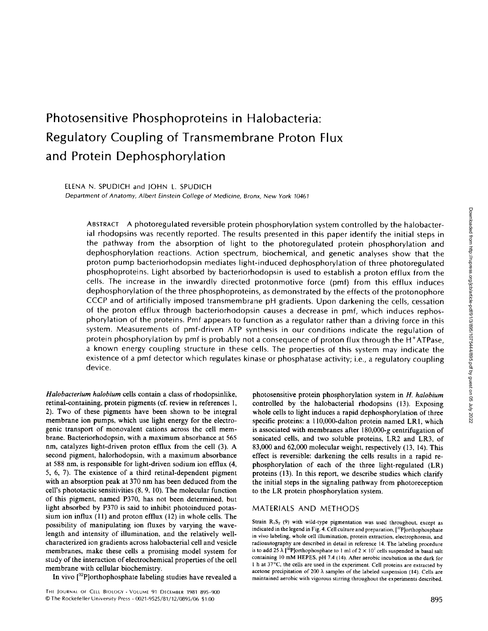# Photosensitive Phosphoproteins in Halobacteria: Regulatory Coupling of Transmembrane Proton Flux and Protein Dephosphorylation

ELENA N. SPUDICH and JOHN L. SPUDICH Department of Anatomy, Albert Einstein College of Medicine, Bronx, New York <sup>10461</sup>

ABSTRACT A photoregulated reversible protein phosphorylation system controlled by the halobacterial rhodopsins was recently reported. The results presented in this paper identify the initial steps in the pathway from the absorption of light to the photoregulated protein phosphorylation and dephosphorylation reactions. Action spectrum, biochemical, and genetic analyses show that the proton pump bacteriorhodopsin mediates light-induced dephosphorylation of three photoregulated phosphoproteins. Light absorbed by bacteriorhodopsin is used to establish a proton efflux from the cells. The increase in the inwardly directed protonmotive force (pmf) from this efflux induces dephosphorylation of the three phosphoproteins, as demonstrated by the effects of the protonophore CCCP and of artificially imposed transmembrane pH gradients. Upon darkening the cells, cessation of the proton efflux through bacteriorhodopsin causes a decrease in pmf, which induces rephosphorylation of the proteins. Pmf appears to function as a regulator rather than a driving force in this system . Measurements of pmf-driven ATP synthesis in our conditions indicate the regulation of protein phosphorylation by pmf is probably not a consequence of proton flux through the H<sup>+</sup>ATPase, a known energy coupling structure in these cells. The properties of this system may indicate the existence of a pmf detector which regulates kinase or phosphatase activity; i.e., a regulatory coupling device.

Halobacterium halobium cells contain a class of rhodopsinlike, retinal-containing, protein pigments (cf. review in references 1, 2). Two of these pigments have been shown to be integral membrane ion pumps, which use light energy for the electrogenic transport of monovalent cations across the cell membrane. Bacteriorhodopsin, with a maximum absorbance at 565 nm, catalyzes light-driven proton efflux from the cell (3). A second pigment, halorhodopsin, with a maximum absorbance at 588 nm, is responsible for light-driven sodium ion efflux (4, 5, 6, 7) . The existence of a third retinal-dependent pigment with an absorption peak at 370 nm has been deduced from the cell's phototactic sensitivities (8, 9, 10). The molecular function of this pigment, named P370, has not been determined, but light absorbed by P370 is said to inhibit photoinduced potassium ion influx (11) and proton efflux (12) in whole cells. The possibility of manipulating ion fluxes by varying the wavelength and intensity of illumination, and the relatively wellcharacterized ion gradients across halobacterial cell and vesicle membranes, make these cells a promising model system for study of the interaction of electrochemical properties of the cell membrane with cellular biochemistry.

In vivo  $[{}^{32}P]$ orthophosphate labeling studies have revealed a

photosensitive protein phosphorylation system in H. halobium controlled by the halobacterial rhodopsins (13). Exposing whole cells to light induces a rapid dephosphorylation of three specific proteins: a 110,000-dalton protein named LR1, which is associated with membranes after 180,000-g centrifugation of sonicated cells, and two soluble proteins, LR2 and LR3, of 83,000 and 62,000 molecular weight, respectively (13, 14). This effect is reversible: darkening the cells results in a rapid rephosphorylation of each of the three light-regulated (LR) proteins (13). In this report, we describe studies which clarify the initial steps in the signaling pathway from photoreception to the LR protein phosphorylation system .

### MATERIALS AND METHODS

Strain  $R_1S_2$  (9) with wild-type pigmentation was used throughout, except as indicated in the legend in Fig. 4. Cell culture and preparation, [<sup>32</sup>P]orthophosphate in vivo labeling, whole cell illumination, protein extraction, electrophoresis, and radioautography are described in detail in reference 14. The labeling procedure is to add 25  $\lambda$  [<sup>32</sup>P]orthophosphate to 1 ml of 2  $\times$  10<sup>7</sup> cells suspended in basal salt containing <sup>10</sup> mM HEPES, pH 7.4 (14) . After aerobic incubation in the dark for 1 h at 37°C, the cells are used in the experiment. Cell proteins are extracted by acetone precipitation of 200  $\lambda$  samples of the labeled suspension (14). Cells are maintained aerobic with vigorous stirring throughout the experiments described .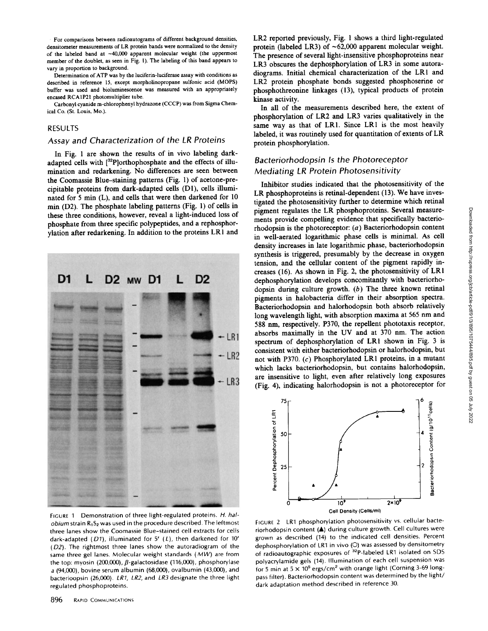For comparisons between radioautograms of different background densities, densitometer measurements of LR protein bands were normalized to the density of the labeled band at ~40,000 apparent molecular weight (the uppermost member of the doublet, as seen in Fig. 1) . The labeling of this band appears to vary in proportion to background.

Determination of ATP was by the luciferin-luciferase assay with conditions as described in reference 15, except morpholinopropane sulfonic acid (MOPS) buffer was used and bioluminescence was measured with an appropriately encased RCAIP21 photomultiplier tube.

Carbonyl cyanide m-chlorophenyl hydrazone (CCCP) was from SigmaChemical Co. (St. Louis, Mo.).

#### RESULTS

## Assay and Characterization of the LR Proteins

In Fig. <sup>1</sup> are shown the results of in vivo labeling darkadapted cells with [32P]orthophosphate and the effects of illumination and redarkening. No differences are seen between the Coomassie Blue-staining patterns (Fig. 1) of acetone-precipitable proteins from dark-adapted cells (D1), cells illuminated for 5 min (L), and cells that were then darkened for 10 min (D2). The phosphate labeling patterns (Fig. 1) of cells in these three conditions, however, reveal a light-induced loss of phosphate from three specific polypeptides, and a rephosphorylation after redarkening. In addition to the proteins LRI and



LR2 reported previously, Fig. 1 shows a third light-regulated protein (labeled LR3) of  $\sim$ 62,000 apparent molecular weight. The presence of several light-insensitive phosphoproteins near LR3 obscures the dephosphorylation of LR3 in some autoradiograms. Initial chemical characterization of the LRI and LR2 protein phosphate bonds suggested phosphoserine or phosphothreonine linkages (13), typical products of protein kinase activity.

In all of the measurements described here, the extent of phosphorylation of LR2 and LR3 varies qualitatively in the same way as that of LR1. Since LR1 is the most heavily labeled, it was routinely used for quantitation of extents of LR protein phosphorylation.

## Bacteriorhodopsin Is the Photoreceptor Mediating LR Protein Photosensitivity

Inhibitor studies indicated that the photosensitivity of the LR phosphoproteins is retinal-dependent (13). We have investigated the photosensitivity further to determine which retinal pigment regulates the LR phosphoproteins. Several measurements provide compelling evidence that specifically bacteriorhodopsin is the photoreceptor: (a) Bacteriorhodopsin content in well-aerated logarithmic phase cells is minimal As cell density increases in late logarithmic phase, bacteriorhodopsin synthesis is triggered, presumably by the decrease in oxygen tension, and the cellular content of the pigment rapidly increases (16) . As shown in Fig. 2, the photosensitivity of LR1 dephosphorylation develops concomitantly with bacteriorhodopsin during culture growth. (b) The three known retinal pigments in halobacteria differ in their absorption spectra. Bacteriorhodopsin and halorhodopsin both absorb relatively long wavelength light, with absorption maxima at <sup>565</sup> nm and 588 nm, respectively. P370, the repellent phototaxis receptor, absorbs maximally in the UV and at <sup>370</sup> nm. The action spectrum of dephosphorylation of LR1 shown in Fig. 3 is consistent with either bacteriorhodopsin or halorhodopsin, but not with P370. (c) Phosphorylated LRI proteins, in a mutant which lacks bacteriorhodopsin, but contains halorhodopsin, are insensitive to light, even after relatively long exposures (Fig. 4), indicating halorhodopsin is not a photoreceptor for



FIGURE 1 Demonstration of three light-regulated proteins. H. hal*obium* strain  $R_1S_2$  was used in the procedure described. The leftmost three lanes show the Coomassie Blue-stained cell extracts for cells dark-adapted ( $D1$ ), illuminated for 5' ( $L$ ), then darkened for 10' (D2). The rightmost three lanes show the autoradiogram of the same three gel lanes. Molecular weight standards  $(MW)$  are from the top: myosin (200,000),  $\beta$ -galactosidase (116,000), phosphorylase <sup>a</sup> (94,000), bovine serum albumin (68,000), ovalbumin (43,000), and bacterioopsin (26,000). LR1, LR2, and LR3 designate the three light regulated phosphoproteins .

FIGURE 2 LR1 phosphorylation photosensitivity vs. cellular bacteriorhodopsin content (A) during culture growth. Cell cultures were grown as described (14) to the indicated cell densities. Percent dephosphorylation of LR1 in vivo (O) was assessed by densitometry of radioautographic exposures of <sup>32</sup>P-labeled LR1 isolated on SDS polyacrylamide gels (14). Illumination of each cell suspension was for 5 min at  $5 \times 10^5$  ergs/cm<sup>2</sup> with orange light (Corning 3-69 longpass filter). Bacteriorhodopsin content was determined by the light/ dark adaptation method described in reference 30.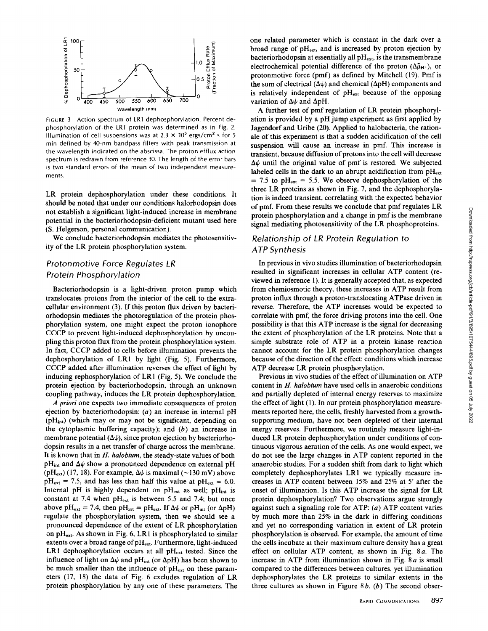

FIGURE 3 Action spectrum of LR1 dephosphorylation. Percent dephosphorylation of the LR1 protein was determined as in Fig. 2 Illumination of cell suspensions was at  $2.3 \times 10^5$  ergs/cm<sup>2</sup> s for 5 min defined by 40-nm bandpass filters with peak transmission at the wavelength indicated on the abscissa . The proton efflux action spectrum is redrawn from reference 30 . The length of the error bars is two standard errors of the mean of two independent measurements.

LR protein dephosphorylation under these conditions . It should be noted that under our conditions halorhodopsin does not establish a significant light-induced increase in membrane potential in the bacteriorhodopsin-deficient mutant used here (S . Helgerson, personal communication).

We conclude bacteriorhodopsin mediates the photosensitivity of the LR protein phosphorylation system.

## Protonmotive Force Regulates LR Protein Phosphorylation

Bacteriorhodopsin is a light-driven proton pump which translocates protons from the interior of the cell to the extracellular environment (3). If this proton flux driven by bacteriorhodopsin mediates the photoregulation of the protein phosphorylation system, one might expect the proton ionophore CCCP to prevent light-induced dephosphorylation by uncoupling this proton flux from the protein phosphorylation system . In fact, CCCP added to cells before illumination prevents the dephosphorylation of LR1 by light (Fig. 5). Furthermore, CCCP added after illumination reverses the effect of light by inducing rephosphorylation of LR1 (Fig. 5). We conclude the protein ejection by bacteriorhodopsin, through an unknown coupling pathway, induces the LR protein dephosphorylation .

A priori one expects two immediate consequences of proton ejection by bacteriorhodopsin: (a) an increase in internal pH (pH<sub>int</sub>) (which may or may not be significant, depending on the cytoplasmic buffering capacity); and ejection by bacteriorhodopsin: (*a*) an increase in internal pH ( $pH_{int}$ ) (which may or may not be significant, depending on the cytoplasmic buffering capacity); and  $(b)$  an increase in membrane potential  $(\Delta \psi)$ , since proton ejection by bacteriorhodopsin results in a net transfer of charge across the membrane. It is known that in H. halobium, the steady-state values of both  $pH_{int}$  and  $\Delta\psi$  show a pronounced dependence on external pH (pH<sub>ext</sub>) (17, 18). For example,  $\Delta\psi$  is maximal (~130 mV) above  $pH_{ext} = 7.5$ , and has less than half this value at  $pH_{ext} = 6.0$ . Internal pH is highly dependent on  $pH_{ext}$  as well;  $pH_{int}$  is constant at 7.4 when  $pH_{ext}$  is between 5.5 and 7.4; but once above pH<sub>ext</sub> = 7.4, then pH<sub>int</sub> = pH<sub>ext</sub>. If  $\Delta \psi$  or pH<sub>int</sub> (or  $\Delta$ pH) regulate the phosphorylation system, then we should see a pronounced dependence of the extent of LR phosphorylation on  $pH_{ext}$ . As shown in Fig. 6, LR1 is phosphorylated to similar extents over a broad range of pH<sub>ext</sub>. Furthermore, light-induced LR1 dephosphorylation occurs at all  $pH_{ext}$  tested. Since the influence of light on  $\Delta\psi$  and pH<sub>int</sub> (or  $\Delta$ pH) has been shown to be much smaller than the influence of  $pH_{ext}$  on these parameters (17, 18) the data of Fig. <sup>6</sup> excludes regulation of LR protein phosphorylation by any one of these parameters. The

A further test of pmf regulation of LR protein phosphorylation is provided by <sup>a</sup> pH jump experiment as first applied by Jagendorf and Uribe (20). Applied to halobacteria, the rationale of this experiment is that a sudden acidification of the cell suspension will cause an increase in pmf. This increase is transient, because diffusion of protons into the cell will decrease  $\Delta\psi$  until the original value of pmf is restored. We subjected labeled cells in the dark to an abrupt acidification from  $pH_{ext}$  $= 7.5$  to pH<sub>ext</sub>  $= 5.5$ . We observe dephosphorylation of the three LR proteins as shown in Fig. 7, and the dephosphorylation is indeed transient, correlating with the expected behavior of pmf. From these results we conclude that pmf regulates LR protein phosphorylation and a change in pmf is the membrane signal mediating photosensitivity of the LR phosphoproteins.

## Relationship of LR Protein Regulation to ATP Synthesis

In previous in vivo studies illumination of bacteriorhodopsin resulted in significant increases in cellular ATP content (reviewed in reference 1) . It is generally accepted that, as expected from chemiosmotic theory, these increases in ATP result from proton influx through a proton-translocating ATPase driven in reverse. Therefore, the ATP increases would be expected to correlate with pmf, the force driving protons into the cell . One possibility is that this ATP increase is the signal for decreasing the extent of phosphorylation of the LR proteins. Note that a simple substrate role of ATP in <sup>a</sup> protein kinase reaction cannot account for the LR protein phosphorylation changes because of the direction of the effect: conditions which increase ATP decrease LR protein phosphorylation.

Previous in vivo studies of the effect of illumination on ATP content in  $H$ . halobium have used cells in anaerobic conditions and partially depleted of internal energy reserves to maximize the effect of light (1). In our protein phosphorylation measurements reported here, the cells, freshly harvested from a growthsupporting medium, have not been depleted of their internal energy reserves. Furthermore, we routinely measure light-induced LR protein dephosphorylation under conditions of continuous vigorous aeration of the cells. As one would expect, we do not see the large changes in ATP content reported in the anaerobic studies. For a sudden shift from dark to light which completely dephosphorylates LR1 we typically measure increases in ATP content between 15% and 25% at <sup>5</sup>' after the onset of illumination . Is this ATP increase the signal for LR protein dephosphorylation? Two observations argue strongly against such a signaling role for ATP:  $(a)$  ATP content varies by much more than 25% in the dark in differing conditions and yet no corresponding variation in extent of LR protein phosphorylation is observed. For example, the amount of time the cells incubate at their maximum culture density has a great effect on cellular ATP content, as shown in Fig.  $8a$ . The increase in ATP from illumination shown in Fig.  $8a$  is small compared to the differences between cultures, yet illumination dephosphorylates the LR proteins to similar extents in the three cultures as shown in Figure  $8b$ . (b) The second obser-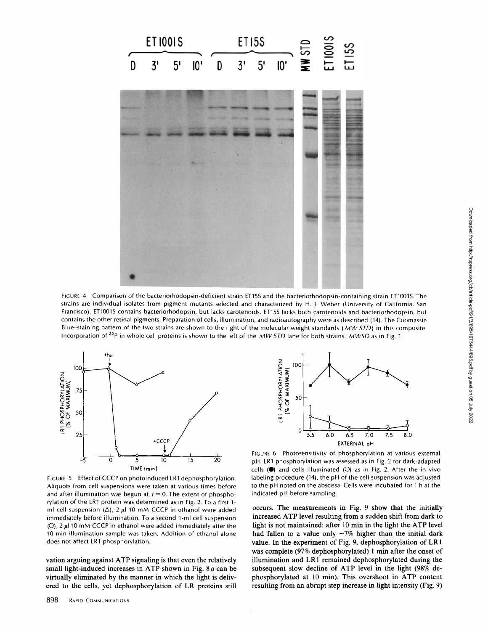

FIGURE 4 Comparison of the bacteriorhodopsin-deficient strain ET15S and the bacteriorhodopsin-containing strain ET1001S The strains are individual isolates from pigment mutants selected and characterized by H. J. Weber (University of California, San Francisco) . ET1001S contains bacteriorhodopsin, but lacks carotenoids ET15S lacks both carotenoids and bacteriorhodopsin, but contains the other retinal pigments. Preparation of cells, illumination, and radioautography were as described (14). The Coomassie Blue-staining pattern of the two strains are shown to the right of the molecular weight standards (MW STD) in this composite. Incorporation of  $32p$  in whole cell proteins is shown to the left of the MWSTD lane for both strains. MWSD as in Fig. 1.



FIGURE 5 Effect of CCCP on photoinduced LR1 dephosphorylation. Aliquots from cell suspensions were taken at various times before and after illumination was begun at  $t = 0$ . The extent of phosphorylation of the LR1 protein was determined as in Fig. 2. To a first 1ml cell suspension ( $\Delta$ ), 2  $\mu$ I 10 mM CCCP in ethanol were added immediately before illumination. To a second 1-ml cell suspension  $(0)$ , 2  $\mu$ l 10 mM CCCP in ethanol were added immediately after the 10 min illumination sample was taken . Addition of ethanol alone does not affect LR1 phosphorylation.

vation arguing against ATP signaling is that even the relatively small light-induced increases in ATP shown in Fig. 8 a can be virtually eliminated by the manner in which the light is delivered to the cells, yet dephosphorylation of LR proteins still



FIGURE 6 Photosensitivity of phosphorylation at various external pH. LR1 phosphorylation was assessed as in Fig. 2 for dark-adapted cells  $($ ) and cells illuminated  $($ O $)$  as in Fig. 2. After the in vivo labeling procedure (14), the pH of the cell suspension was adjusted to the pH noted on the abscissa Cells were incubated for <sup>1</sup> h at the indicated pH before sampling.

occurs. The measurements in Fig. 9 show that the initially increased ATP level resulting from <sup>a</sup> sudden shift from dark to light is not maintained: after 10 min in the light the ATP level had fallen to a value only  $\sim$ 7% higher than the initial dark value. In the experiment of Fig. 9, dephosphorylation of LR <sup>1</sup> was complete (97% dephosphorylated) <sup>1</sup> min after the onset of illumination and LR1 remained dephosphorylated during the subsequent slow decline of ATP level in the light (98% dephosphorylated at 10 min). This overshoot in ATP content resulting from an abrupt step increase in light intensity (Fig. 9)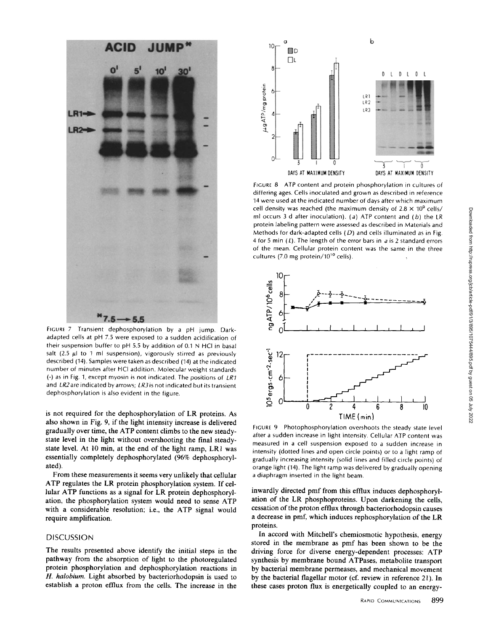

FIGURE 7 Transient dephosphorylation by a pH jump. Darkadapted cells at pH <sup>7</sup> .5 were exposed to <sup>a</sup> sudden acidification of their suspension buffer to pH 5.5 by addition of 0.1 N HCI in basal salt (2.5  $\mu$ l to 1 ml suspension), vigorously stirred as previously described (14) . Samples were taken as described (14) at the indicated number of minutes after HCI addition . Molecular weight standards (-) as in Fig. 1, except myosin is not indicated. The positions of LR1 and  $LR2$  are indicated by arrows;  $LR3$  is not indicated but its transient dephosphorylation is also evident in the figure.

is not required for the dephosphorylation of LR proteins. As also shown in Fig. 9, if the light intensity increase is delivered gradually over time, the ATP content climbs to the new steadystate level in the light without overshooting the final steadystate level. At 10 min, at the end of the light ramp, LR1 was essentially completely dephosphorylated (96% dephosphorylated).

From these measurements it seems very unlikely that cellular ATP regulates the LR protein phosphorylation system. If cellular ATP functions as <sup>a</sup> signal for LR protein dephosphorylation, the phosphorylation system would need to sense ATP with a considerable resolution; i.e., the ATP signal would require amplification.

#### **DISCUSSION**

The results presented above identify the initial steps in the pathway from the absorption of light to the photoregulated protein phosphorylation and dephosphorylation reactions in H. halobium. Light absorbed by bacteriorhodopsin is used to establish a proton efflux from the cells. The increase in the



FIGURE 8 ATP content and protein phosphorylation in cultures of differing ages. Cells inoculated and grown as described in reference 14 were used at the indicated number of days after which maximum cell density was reached (the maximum density of  $2.8 \times 10^9$  cells/ ml occurs 3 d after inoculation). (a) ATP content and (b) the LR protein labeling pattern were assessed as described in Materials and Methods for dark-adapted cells  $(D)$  and cells illuminated as in Fig. 4 for 5 min ( $L$ ). The length of the error bars in a is 2 standard errors of the mean. Cellular protein content was the same in the three cultures (7.0 mg protein/10<sup>10</sup> cells).



FIGURE <sup>9</sup> Photophosphorylation overshoots the steady state level after a sudden increase in light intensity . Cellular ATP content was measured in a cell suspension exposed to <sup>a</sup> sudden increase in intensity (dotted lines and open circle points) or to a light ramp of gradually increasing intensity (solid lines and filled circle points) of orange light (14) . The light ramp was delivered by gradually opening <sup>a</sup> diaphragm inserted in the light beam

inwardly directed pmf from this efflux induces dephosphorylation of the LR phosphoproteins. Upon darkening the cells, cessation of the proton efflux through bacteriorhodopsin causes a decrease in pmf, which induces rephosphorylation of the LR proteins.

In accord with Mitchell's chemiosmotic hypothesis, energy stored in the membrane as pmf has been shown to be the driving force for diverse energy-dependent processes: ATP synthesis by membrane bound ATPases, metabolite transport by bacterial membrane permeases, and mechanical movement by the bacterial flagellar motor (cf. review in reference 21). In these cases proton flux is energetically coupled to an energy-